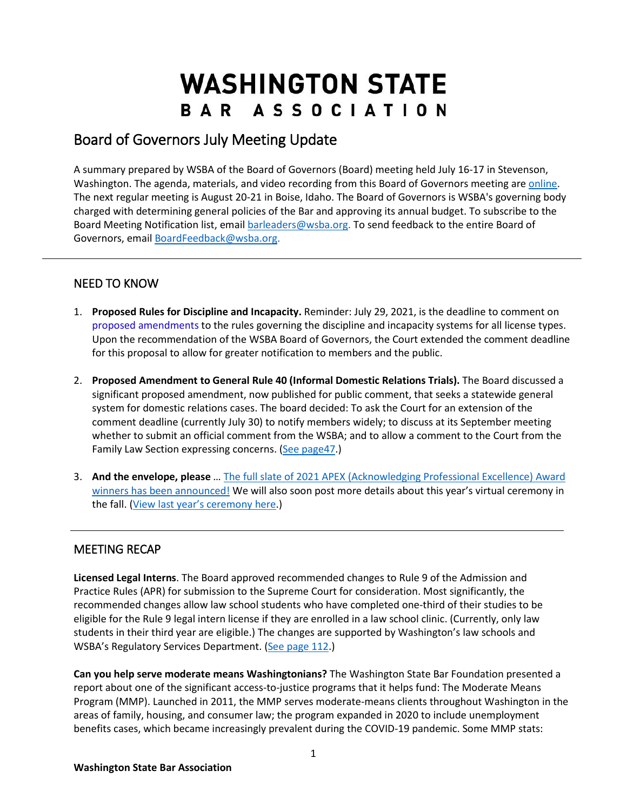# **WASHINGTON STATE** BAR ASSOCIATION

## Board of Governors July Meeting Update

A summary prepared by WSBA of the Board of Governors (Board) meeting held July 16-17 in Stevenson, Washington. The agenda, materials, and video recording from this Board of Governors meeting are [online.](https://www.wsba.org/about-wsba/who-we-are/bog) The next regular meeting is August 20-21 in Boise, Idaho. The Board of Governors is WSBA's governing body charged with determining general policies of the Bar and approving its annual budget. To subscribe to the Board Meeting Notification list, emai[l barleaders@wsba.org.](mailto:barleaders@wsba.org) To send feedback to the entire Board of Governors, email [BoardFeedback@wsba.org.](mailto:BoardFeedback@wsba.org)

### NEED TO KNOW

- 1. **Proposed Rules for Discipline and Incapacity.** Reminder: July 29, 2021, is the deadline to comment on [proposed amendments](https://urldefense.com/v3/__https:/nam11.safelinks.protection.outlook.com/?url=https*3A*2F*2Furldefense.com*2Fv3*2F__https*3A*2Fnam11.safelinks.protection.outlook.com*2F*3Furl*3Dhttps*3A*2F*2Furldefense.com*2Fv3*2F__http*3A*2Fwsba2.informz.net*2Fz*2FcjUucD9taT0zMjM3MTQzJnA9MSZ1PTM3NzEzNjQ5MSZsaT0yODE3MjQyNg*2Findex.html__*3B!!MxMh4AY!39KtOfHqMYGPMFbCR-9_xajTqPzmJQeuUWm2q0NkVCnXxyLiQVsD0V68uuXT*24*26data*3D04*7C01*7C*7Ca02cc76e72334a5ccf0208d910158f90*7Cf11584490bf14af7ae014605d6e3b44b*7C0*7C0*7C637558507080009493*7CUnknown*7CTWFpbGZsb3d8eyJWIjoiMC4wLjAwMDAiLCJQIjoiV2luMzIiLCJBTiI6Ik1haWwiLCJXVCI6Mn0*3D*7C1000*26sdata*3Dkl4y5ZjMw5nV*2F2M03BdMJOeKXoiMpSqKgXDlVsoxTU8*3D*26reserved*3D0__*3BJSUlJSUlJSUlJSUlJSUlJSUlJSUlJSUlJQ!!MxMh4AY!xgW6RRDwP0Q6dLWwYzvDjp8Aj7zRolgQezRt5G9J8I0LNTrPUP0bpZHpuNw*24&data=04*7C01*7C*7C84db3d27ba6140fa6d2e08d91018d53d*7Cf11584490bf14af7ae014605d6e3b44b*7C0*7C0*7C637558521124388041*7CUnknown*7CTWFpbGZsb3d8eyJWIjoiMC4wLjAwMDAiLCJQIjoiV2luMzIiLCJBTiI6Ik1haWwiLCJXVCI6Mn0*3D*7C1000&sdata=2ejXCQsJaOtoD*2BF3xJyVlZO47ttBhktipekAK8OXS5E*3D&reserved=0__;JSUlJSUlJSUlJSoqKioqKioqKioqKiUlKioqKioqKioqKiolJSoqJSUlJSUlJSUlJSUlJSUlJSU!!MxMh4AY!2rbq4_zxVsl781RLTMXt6CRESBJ2Gk1Ws6uy8n7yMthDDuALT3DrRGMld_k$) to the rules governing the discipline and incapacity systems for all license types. Upon the recommendation of the WSBA Board of Governors, the Court extended the comment deadline for this proposal to allow for greater notification to members and the public.
- 2. **Proposed Amendment to General Rule 40 (Informal Domestic Relations Trials).** The Board discussed a significant proposed amendment, now published for public comment, that seeks a statewide general system for domestic relations cases. The board decided: To ask the Court for an extension of the comment deadline (currently July 30) to notify members widely; to discuss at its September meeting whether to submit an official comment from the WSBA; and to allow a comment to the Court from the Family Law Section expressing concerns. (See page 47.)
- 3. **And the envelope, please** … The full slate of [2021 APEX \(Acknowledging Professional Excellence\) Award](https://www.wsba.org/news-events/apex-awards) winners [has been announced!](https://www.wsba.org/news-events/apex-awards) We will also soon post more details about this year's virtual ceremony in the fall. [\(View last year's ceremony here.](https://www.wsba.org/about-wsba/apex-awards/2020-apex-awards))

#### MEETING RECAP

**Licensed Legal Interns**. The Board approved recommended changes to Rule 9 of the Admission and Practice Rules (APR) for submission to the Supreme Court for consideration. Most significantly, the recommended changes allow law school students who have completed one-third of their studies to be eligible for the Rule 9 legal intern license if they are enrolled in a law school clinic. (Currently, only law students in their third year are eligible.) The changes are supported by Washington's law schools and WSBA's Regulatory Services Department. [\(See page 112.](https://www.wsba.org/docs/default-source/about-wsba/governance/bog-meeting-materials-2000-2001/board-of-governors-meeting-materials-july-2021.pdf#page=112))

**Can you help serve moderate means Washingtonians?** The Washington State Bar Foundation presented a report about one of the significant access-to-justice programs that it helps fund: The Moderate Means Program (MMP). Launched in 2011, the MMP serves moderate-means clients throughout Washington in the areas of family, housing, and consumer law; the program expanded in 2020 to include unemployment benefits cases, which became increasingly prevalent during the COVID-19 pandemic. Some MMP stats: